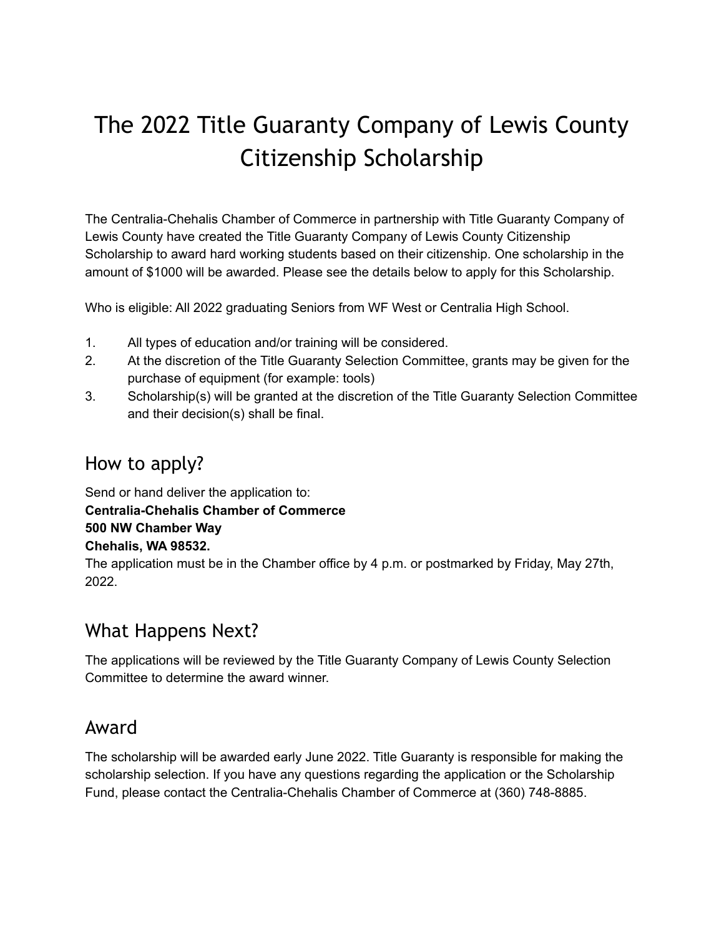## The 2022 Title Guaranty Company of Lewis County Citizenship Scholarship

The Centralia-Chehalis Chamber of Commerce in partnership with Title Guaranty Company of Lewis County have created the Title Guaranty Company of Lewis County Citizenship Scholarship to award hard working students based on their citizenship. One scholarship in the amount of \$1000 will be awarded. Please see the details below to apply for this Scholarship.

Who is eligible: All 2022 graduating Seniors from WF West or Centralia High School.

- 1. All types of education and/or training will be considered.
- 2. At the discretion of the Title Guaranty Selection Committee, grants may be given for the purchase of equipment (for example: tools)
- 3. Scholarship(s) will be granted at the discretion of the Title Guaranty Selection Committee and their decision(s) shall be final.

#### How to apply?

Send or hand deliver the application to: **Centralia-Chehalis Chamber of Commerce 500 NW Chamber Way Chehalis, WA 98532.**

The application must be in the Chamber office by 4 p.m. or postmarked by Friday, May 27th, 2022.

### What Happens Next?

The applications will be reviewed by the Title Guaranty Company of Lewis County Selection Committee to determine the award winner.

#### Award

The scholarship will be awarded early June 2022. Title Guaranty is responsible for making the scholarship selection. If you have any questions regarding the application or the Scholarship Fund, please contact the Centralia-Chehalis Chamber of Commerce at (360) 748-8885.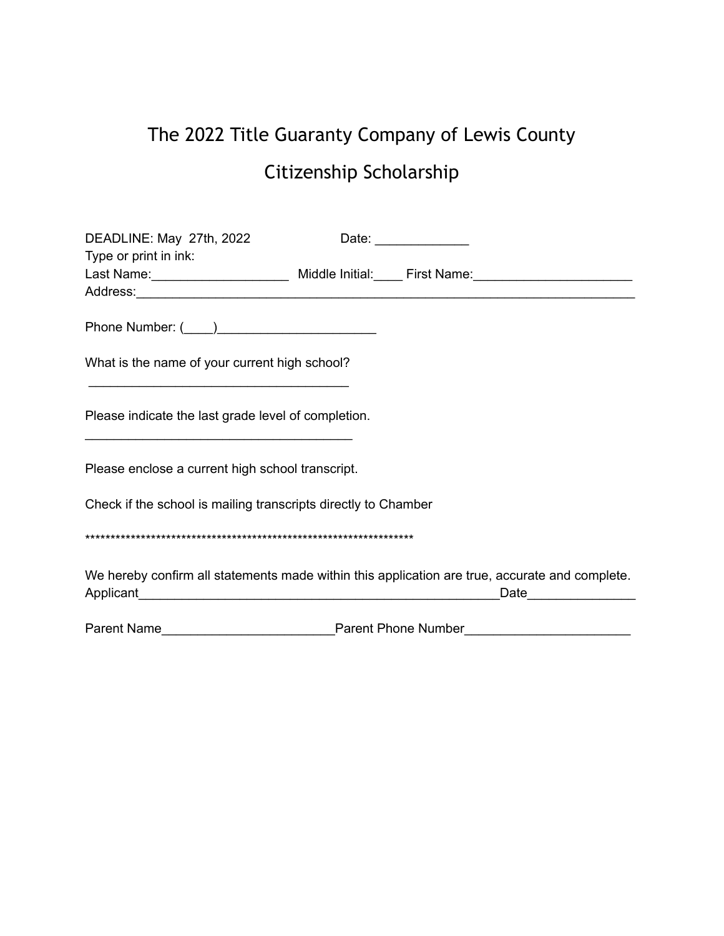# The 2022 Title Guaranty Company of Lewis County Citizenship Scholarship

| DEADLINE: May 27th, 2022                                       |  | Date: ______________                                                                                                      |  |
|----------------------------------------------------------------|--|---------------------------------------------------------------------------------------------------------------------------|--|
| Type or print in ink:                                          |  |                                                                                                                           |  |
|                                                                |  |                                                                                                                           |  |
|                                                                |  |                                                                                                                           |  |
|                                                                |  |                                                                                                                           |  |
| What is the name of your current high school?                  |  |                                                                                                                           |  |
|                                                                |  |                                                                                                                           |  |
| Please indicate the last grade level of completion.            |  |                                                                                                                           |  |
| Please enclose a current high school transcript.               |  |                                                                                                                           |  |
| Check if the school is mailing transcripts directly to Chamber |  |                                                                                                                           |  |
|                                                                |  |                                                                                                                           |  |
|                                                                |  | We hereby confirm all statements made within this application are true, accurate and complete.<br>Date___________________ |  |
|                                                                |  | Parent Name <b>Manual Contract Parent Phone Number</b> Parent Phone Number <b>Number Parent Name</b>                      |  |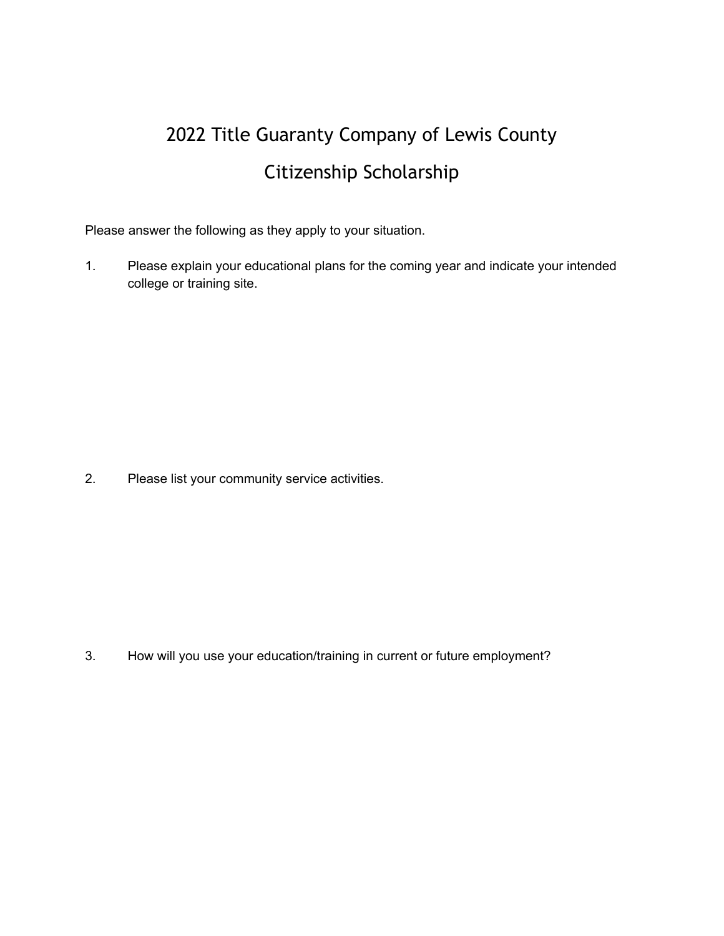## 2022 Title Guaranty Company of Lewis County Citizenship Scholarship

Please answer the following as they apply to your situation.

1. Please explain your educational plans for the coming year and indicate your intended college or training site.

2. Please list your community service activities.

3. How will you use your education/training in current or future employment?